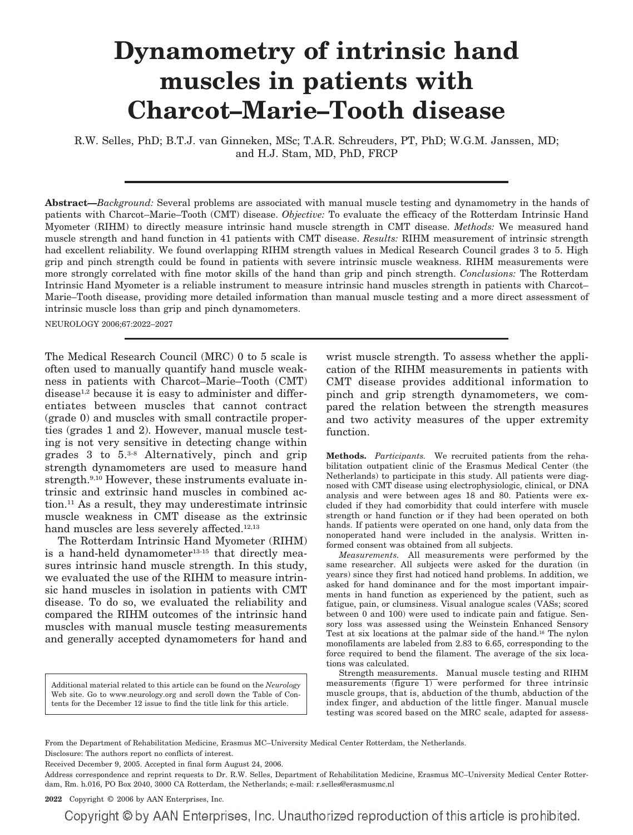# **Dynamometry of intrinsic hand muscles in patients with Charcot–Marie–Tooth disease**

R.W. Selles, PhD; B.T.J. van Ginneken, MSc; T.A.R. Schreuders, PT, PhD; W.G.M. Janssen, MD; and H.J. Stam, MD, PhD, FRCP

**Abstract—***Background:* Several problems are associated with manual muscle testing and dynamometry in the hands of patients with Charcot–Marie–Tooth (CMT) disease. *Objective:* To evaluate the efficacy of the Rotterdam Intrinsic Hand Myometer (RIHM) to directly measure intrinsic hand muscle strength in CMT disease. *Methods:* We measured hand muscle strength and hand function in 41 patients with CMT disease. *Results:* RIHM measurement of intrinsic strength had excellent reliability. We found overlapping RIHM strength values in Medical Research Council grades 3 to 5. High grip and pinch strength could be found in patients with severe intrinsic muscle weakness. RIHM measurements were more strongly correlated with fine motor skills of the hand than grip and pinch strength. *Conclusions:* The Rotterdam Intrinsic Hand Myometer is a reliable instrument to measure intrinsic hand muscles strength in patients with Charcot– Marie–Tooth disease, providing more detailed information than manual muscle testing and a more direct assessment of intrinsic muscle loss than grip and pinch dynamometers.

NEUROLOGY 2006;67:2022–2027

The Medical Research Council (MRC) 0 to 5 scale is often used to manually quantify hand muscle weakness in patients with Charcot–Marie–Tooth (CMT) disease<sup>1,2</sup> because it is easy to administer and differentiates between muscles that cannot contract (grade 0) and muscles with small contractile properties (grades 1 and 2). However, manual muscle testing is not very sensitive in detecting change within grades 3 to 5.3-8 Alternatively, pinch and grip strength dynamometers are used to measure hand strength.<sup>9,10</sup> However, these instruments evaluate intrinsic and extrinsic hand muscles in combined action.11 As a result, they may underestimate intrinsic muscle weakness in CMT disease as the extrinsic hand muscles are less severely affected.<sup>12,13</sup>

The Rotterdam Intrinsic Hand Myometer (RIHM) is a hand-held dynamometer<sup>13-15</sup> that directly measures intrinsic hand muscle strength. In this study, we evaluated the use of the RIHM to measure intrinsic hand muscles in isolation in patients with CMT disease. To do so, we evaluated the reliability and compared the RIHM outcomes of the intrinsic hand muscles with manual muscle testing measurements and generally accepted dynamometers for hand and

Additional material related to this article can be found on the *Neurology* Web site. Go to www.neurology.org and scroll down the Table of Contents for the December 12 issue to find the title link for this article.

wrist muscle strength. To assess whether the application of the RIHM measurements in patients with CMT disease provides additional information to pinch and grip strength dynamometers, we compared the relation between the strength measures and two activity measures of the upper extremity function.

**Methods.** *Participants.* We recruited patients from the rehabilitation outpatient clinic of the Erasmus Medical Center (the Netherlands) to participate in this study. All patients were diagnosed with CMT disease using electrophysiologic, clinical, or DNA analysis and were between ages 18 and 80. Patients were excluded if they had comorbidity that could interfere with muscle strength or hand function or if they had been operated on both hands. If patients were operated on one hand, only data from the nonoperated hand were included in the analysis. Written informed consent was obtained from all subjects.

*Measurements.* All measurements were performed by the same researcher. All subjects were asked for the duration (in years) since they first had noticed hand problems. In addition, we asked for hand dominance and for the most important impairments in hand function as experienced by the patient, such as fatigue, pain, or clumsiness. Visual analogue scales (VASs; scored between 0 and 100) were used to indicate pain and fatigue. Sensory loss was assessed using the Weinstein Enhanced Sensory Test at six locations at the palmar side of the hand.16 The nylon monofilaments are labeled from 2.83 to 6.65, corresponding to the force required to bend the filament. The average of the six locations was calculated.

Strength measurements. Manual muscle testing and RIHM measurements (figure 1) were performed for three intrinsic muscle groups, that is, abduction of the thumb, abduction of the index finger, and abduction of the little finger. Manual muscle testing was scored based on the MRC scale, adapted for assess-

From the Department of Rehabilitation Medicine, Erasmus MC–University Medical Center Rotterdam, the Netherlands. Disclosure: The authors report no conflicts of interest.

Received December 9, 2005. Accepted in final form August 24, 2006.

Address correspondence and reprint requests to Dr. R.W. Selles, Department of Rehabilitation Medicine, Erasmus MC–University Medical Center Rotterdam, Rm. h.016, PO Box 2040, 3000 CA Rotterdam, the Netherlands; e-mail: r.selles@erasmusmc.nl

**2022** Copyright © 2006 by AAN Enterprises, Inc.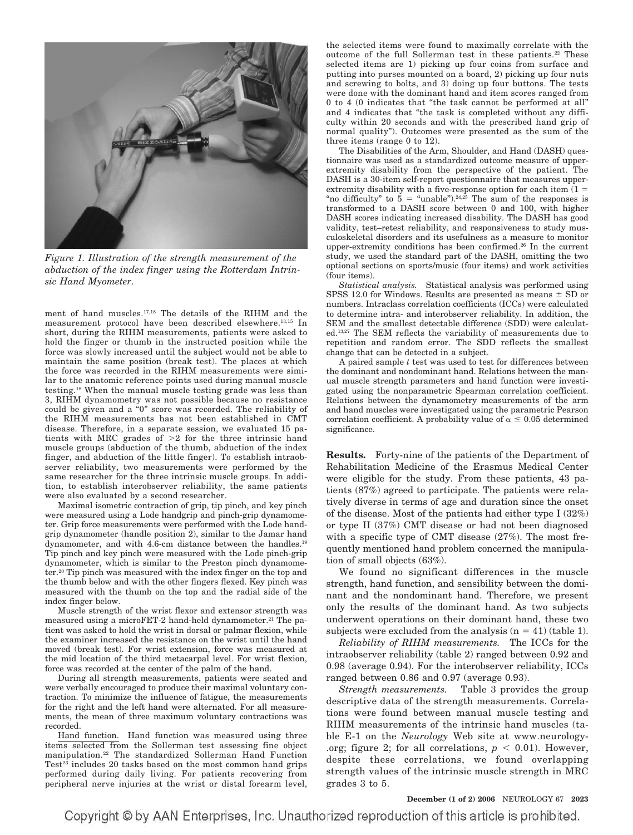

*Figure 1. Illustration of the strength measurement of the abduction of the index finger using the Rotterdam Intrinsic Hand Myometer.*

ment of hand muscles.17,18 The details of the RIHM and the measurement protocol have been described elsewhere.13,15 In short, during the RIHM measurements, patients were asked to hold the finger or thumb in the instructed position while the force was slowly increased until the subject would not be able to maintain the same position (break test). The places at which the force was recorded in the RIHM measurements were similar to the anatomic reference points used during manual muscle testing.18 When the manual muscle testing grade was less than 3, RIHM dynamometry was not possible because no resistance could be given and a "0" score was recorded. The reliability of the RIHM measurements has not been established in CMT disease. Therefore, in a separate session, we evaluated 15 patients with MRC grades of  $>2$  for the three intrinsic hand muscle groups (abduction of the thumb, abduction of the index finger, and abduction of the little finger). To establish intraobserver reliability, two measurements were performed by the same researcher for the three intrinsic muscle groups. In addition, to establish interobserver reliability, the same patients were also evaluated by a second researcher.

Maximal isometric contraction of grip, tip pinch, and key pinch were measured using a Lode handgrip and pinch-grip dynamometer. Grip force measurements were performed with the Lode handgrip dynamometer (handle position 2), similar to the Jamar hand dynamometer, and with 4.6-cm distance between the handles.19 Tip pinch and key pinch were measured with the Lode pinch-grip dynamometer, which is similar to the Preston pinch dynamometer.20 Tip pinch was measured with the index finger on the top and the thumb below and with the other fingers flexed. Key pinch was measured with the thumb on the top and the radial side of the index finger below.

Muscle strength of the wrist flexor and extensor strength was measured using a microFET-2 hand-held dynamometer.<sup>21</sup> The patient was asked to hold the wrist in dorsal or palmar flexion, while the examiner increased the resistance on the wrist until the hand moved (break test). For wrist extension, force was measured at the mid location of the third metacarpal level. For wrist flexion, force was recorded at the center of the palm of the hand.

During all strength measurements, patients were seated and were verbally encouraged to produce their maximal voluntary contraction. To minimize the influence of fatigue, the measurements for the right and the left hand were alternated. For all measurements, the mean of three maximum voluntary contractions was recorded.

Hand function. Hand function was measured using three items selected from the Sollerman test assessing fine object manipulation.22 The standardized Sollerman Hand Function Test $2^3$  includes 20 tasks based on the most common hand grips performed during daily living. For patients recovering from peripheral nerve injuries at the wrist or distal forearm level,

the selected items were found to maximally correlate with the outcome of the full Sollerman test in these patients.22 These selected items are 1) picking up four coins from surface and putting into purses mounted on a board, 2) picking up four nuts and screwing to bolts, and 3) doing up four buttons. The tests were done with the dominant hand and item scores ranged from 0 to 4 (0 indicates that "the task cannot be performed at all" and 4 indicates that "the task is completed without any difficulty within 20 seconds and with the prescribed hand grip of normal quality"). Outcomes were presented as the sum of the three items (range 0 to 12).

The Disabilities of the Arm, Shoulder, and Hand (DASH) questionnaire was used as a standardized outcome measure of upperextremity disability from the perspective of the patient. The DASH is a 30-item self-report questionnaire that measures upperextremity disability with a five-response option for each item  $(1 =$ "no difficulty" to  $5 =$  "unable").<sup>24,25</sup> The sum of the responses is transformed to a DASH score between 0 and 100, with higher DASH scores indicating increased disability. The DASH has good validity, test–retest reliability, and responsiveness to study musculoskeletal disorders and its usefulness as a measure to monitor upper-extremity conditions has been confirmed.<sup>26</sup> In the current study, we used the standard part of the DASH, omitting the two optional sections on sports/music (four items) and work activities (four items).

*Statistical analysis.* Statistical analysis was performed using SPSS 12.0 for Windows. Results are presented as means  $\pm$  SD or numbers. Intraclass correlation coefficients (ICCs) were calculated to determine intra- and interobserver reliability. In addition, the SEM and the smallest detectable difference (SDD) were calculated.13,27 The SEM reflects the variability of measurements due to repetition and random error. The SDD reflects the smallest change that can be detected in a subject.

A paired sample *t* test was used to test for differences between the dominant and nondominant hand. Relations between the manual muscle strength parameters and hand function were investigated using the nonparametric Spearman correlation coefficient. Relations between the dynamometry measurements of the arm and hand muscles were investigated using the parametric Pearson correlation coefficient. A probability value of  $\alpha \leq 0.05$  determined significance.

**Results.** Forty-nine of the patients of the Department of Rehabilitation Medicine of the Erasmus Medical Center were eligible for the study. From these patients, 43 patients (87%) agreed to participate. The patients were relatively diverse in terms of age and duration since the onset of the disease. Most of the patients had either type I (32%) or type II (37%) CMT disease or had not been diagnosed with a specific type of CMT disease  $(27\%)$ . The most frequently mentioned hand problem concerned the manipulation of small objects (63%).

We found no significant differences in the muscle strength, hand function, and sensibility between the dominant and the nondominant hand. Therefore, we present only the results of the dominant hand. As two subjects underwent operations on their dominant hand, these two subjects were excluded from the analysis  $(n = 41)$  (table 1).

*Reliability of RIHM measurements.* The ICCs for the intraobserver reliability (table 2) ranged between 0.92 and 0.98 (average 0.94). For the interobserver reliability, ICCs ranged between 0.86 and 0.97 (average 0.93).

*Strength measurements.* Table 3 provides the group descriptive data of the strength measurements. Correlations were found between manual muscle testing and RIHM measurements of the intrinsic hand muscles (table E-1 on the *Neurology* Web site at www.neurology- .org; figure 2; for all correlations,  $p < 0.01$ ). However, despite these correlations, we found overlapping strength values of the intrinsic muscle strength in MRC grades 3 to 5.

**December (1 of 2) 2006** NEUROLOGY 67 **2023**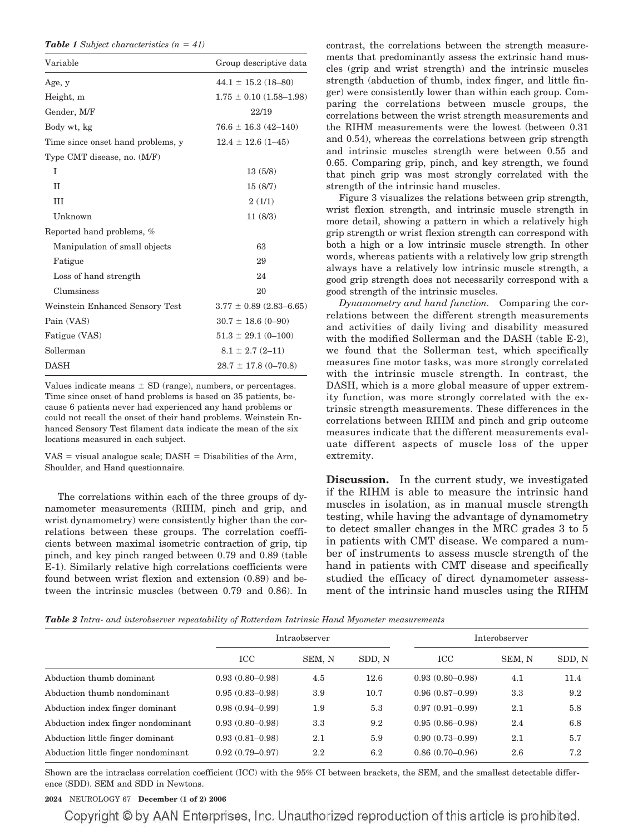**Table 1** *Subject characteristics*  $(n = 41)$ 

| Variable                          | Group descriptive data       |  |  |  |  |
|-----------------------------------|------------------------------|--|--|--|--|
| Age, y                            | $44.1 \pm 15.2$ (18-80)      |  |  |  |  |
| Height, m                         | $1.75 \pm 0.10$ (1.58–1.98)  |  |  |  |  |
| Gender, M/F                       | 22/19                        |  |  |  |  |
| Body wt, kg                       | $76.6 \pm 16.3 \ (42 - 140)$ |  |  |  |  |
| Time since onset hand problems, y | $12.4 \pm 12.6$ (1-45)       |  |  |  |  |
| Type CMT disease, no. (M/F)       |                              |  |  |  |  |
| T                                 | 13(5/8)                      |  |  |  |  |
| $\mathbf{H}$                      | 15(8/7)                      |  |  |  |  |
| III                               | 2(1/1)                       |  |  |  |  |
| Unknown                           | 11(8/3)                      |  |  |  |  |
| Reported hand problems, %         |                              |  |  |  |  |
| Manipulation of small objects     | 63                           |  |  |  |  |
| Fatigue                           | 29                           |  |  |  |  |
| Loss of hand strength             | 24                           |  |  |  |  |
| Clumsiness                        | 20                           |  |  |  |  |
| Weinstein Enhanced Sensory Test   | $3.77 \pm 0.89$ (2.83–6.65)  |  |  |  |  |
| Pain (VAS)                        | $30.7 \pm 18.6$ (0-90)       |  |  |  |  |
| Fatigue (VAS)                     | $51.3 \pm 29.1$ (0-100)      |  |  |  |  |
| Sollerman                         | $8.1 \pm 2.7$ (2-11)         |  |  |  |  |
| <b>DASH</b>                       | $28.7 \pm 17.8$ (0-70.8)     |  |  |  |  |

Values indicate means  $\pm$  SD (range), numbers, or percentages. Time since onset of hand problems is based on 35 patients, because 6 patients never had experienced any hand problems or could not recall the onset of their hand problems. Weinstein Enhanced Sensory Test filament data indicate the mean of the six locations measured in each subject.

VAS = visual analogue scale; DASH = Disabilities of the Arm, Shoulder, and Hand questionnaire.

The correlations within each of the three groups of dynamometer measurements (RIHM, pinch and grip, and wrist dynamometry) were consistently higher than the correlations between these groups. The correlation coefficients between maximal isometric contraction of grip, tip pinch, and key pinch ranged between 0.79 and 0.89 (table E-1). Similarly relative high correlations coefficients were found between wrist flexion and extension (0.89) and between the intrinsic muscles (between 0.79 and 0.86). In

contrast, the correlations between the strength measurements that predominantly assess the extrinsic hand muscles (grip and wrist strength) and the intrinsic muscles strength (abduction of thumb, index finger, and little finger) were consistently lower than within each group. Comparing the correlations between muscle groups, the correlations between the wrist strength measurements and the RIHM measurements were the lowest (between 0.31 and 0.54), whereas the correlations between grip strength and intrinsic muscles strength were between 0.55 and 0.65. Comparing grip, pinch, and key strength, we found that pinch grip was most strongly correlated with the strength of the intrinsic hand muscles.

Figure 3 visualizes the relations between grip strength, wrist flexion strength, and intrinsic muscle strength in more detail, showing a pattern in which a relatively high grip strength or wrist flexion strength can correspond with both a high or a low intrinsic muscle strength. In other words, whereas patients with a relatively low grip strength always have a relatively low intrinsic muscle strength, a good grip strength does not necessarily correspond with a good strength of the intrinsic muscles.

*Dynamometry and hand function.* Comparing the correlations between the different strength measurements and activities of daily living and disability measured with the modified Sollerman and the DASH (table E-2), we found that the Sollerman test, which specifically measures fine motor tasks, was more strongly correlated with the intrinsic muscle strength. In contrast, the DASH, which is a more global measure of upper extremity function, was more strongly correlated with the extrinsic strength measurements. These differences in the correlations between RIHM and pinch and grip outcome measures indicate that the different measurements evaluate different aspects of muscle loss of the upper extremity.

**Discussion.** In the current study, we investigated if the RIHM is able to measure the intrinsic hand muscles in isolation, as in manual muscle strength testing, while having the advantage of dynamometry to detect smaller changes in the MRC grades 3 to 5 in patients with CMT disease. We compared a number of instruments to assess muscle strength of the hand in patients with CMT disease and specifically studied the efficacy of direct dynamometer assessment of the intrinsic hand muscles using the RIHM

*Table 2 Intra- and interobserver repeatability of Rotterdam Intrinsic Hand Myometer measurements*

|                                     |                     | Intraobserver |        | Interobserver       |        |        |  |  |
|-------------------------------------|---------------------|---------------|--------|---------------------|--------|--------|--|--|
|                                     | ICC                 | SEM, N        | SDD, N | ICC                 | SEM, N | SDD, N |  |  |
| Abduction thumb dominant            | $0.93(0.80 - 0.98)$ | 4.5           | 12.6   | $0.93(0.80 - 0.98)$ | 4.1    | 11.4   |  |  |
| Abduction thumb nondominant         | $0.95(0.83 - 0.98)$ | 3.9           | 10.7   | $0.96(0.87-0.99)$   | 3.3    | 9.2    |  |  |
| Abduction index finger dominant     | $0.98(0.94 - 0.99)$ | 1.9           | 5.3    | $0.97(0.91 - 0.99)$ | 2.1    | 5.8    |  |  |
| Abduction index finger nondominant  | $0.93(0.80 - 0.98)$ | 3.3           | 9.2    | $0.95(0.86 - 0.98)$ | 2.4    | 6.8    |  |  |
| Abduction little finger dominant    | $0.93(0.81 - 0.98)$ | 2.1           | 5.9    | $0.90(0.73 - 0.99)$ | 2.1    | 5.7    |  |  |
| Abduction little finger nondominant | $0.92(0.79 - 0.97)$ | $2.2\,$       | 6.2    | $0.86(0.70-0.96)$   | 2.6    | 7.2    |  |  |

Shown are the intraclass correlation coefficient (ICC) with the 95% CI between brackets, the SEM, and the smallest detectable difference (SDD). SEM and SDD in Newtons.

# **2024** NEUROLOGY 67 **December (1 of 2) 2006**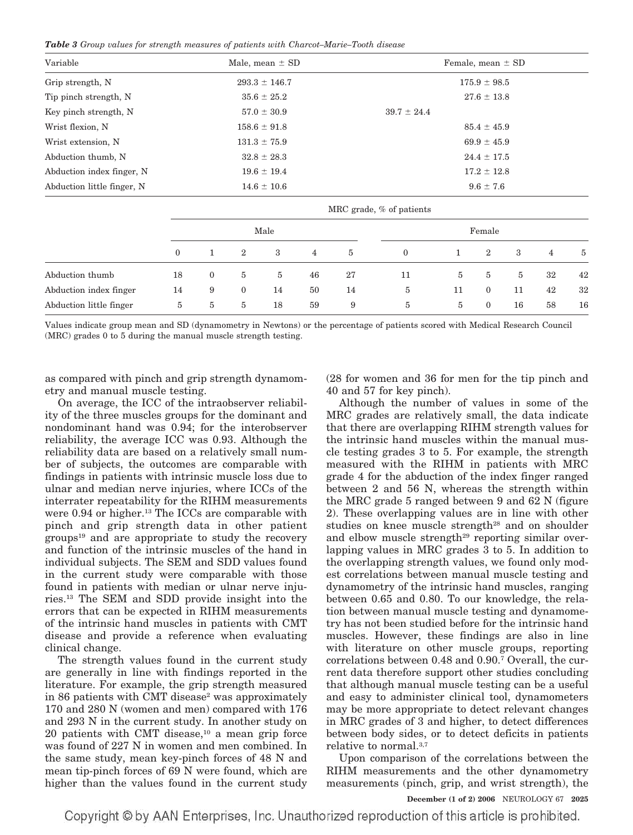*Table 3 Group values for strength measures of patients with Charcot–Marie–Tooth disease*

| Variable                   | Male, mean $\pm$ SD<br>Female, mean $\pm$ SD |                 |                  |                |                |                  |                 |                 |                |    |                |    |  |
|----------------------------|----------------------------------------------|-----------------|------------------|----------------|----------------|------------------|-----------------|-----------------|----------------|----|----------------|----|--|
| Grip strength, N           | $293.3 \pm 146.7$                            |                 |                  |                |                | $175.9 \pm 98.5$ |                 |                 |                |    |                |    |  |
| Tip pinch strength, N      |                                              |                 | $35.6 \pm 25.2$  |                |                |                  | $27.6 \pm 13.8$ |                 |                |    |                |    |  |
| Key pinch strength, N      |                                              | $57.0 \pm 30.9$ |                  |                |                |                  |                 | $39.7 \pm 24.4$ |                |    |                |    |  |
| Wrist flexion, N           | $158.6 \pm 91.8$                             |                 |                  |                |                |                  | $85.4 \pm 45.9$ |                 |                |    |                |    |  |
| Wrist extension, N         | $131.3 \pm 75.9$                             |                 |                  |                |                |                  | $69.9 \pm 45.9$ |                 |                |    |                |    |  |
| Abduction thumb, N         | $32.8 \pm 28.3$                              |                 |                  |                |                |                  | $24.4 \pm 17.5$ |                 |                |    |                |    |  |
| Abduction index finger, N  | $19.6 \pm 19.4$                              |                 |                  |                |                |                  | $17.2 \pm 12.8$ |                 |                |    |                |    |  |
| Abduction little finger, N | $14.6 \pm 10.6$                              |                 |                  |                |                | $9.6 \pm 7.6$    |                 |                 |                |    |                |    |  |
|                            | MRC grade, % of patients                     |                 |                  |                |                |                  |                 |                 |                |    |                |    |  |
|                            | Male                                         |                 |                  |                |                | Female           |                 |                 |                |    |                |    |  |
|                            | $\mathbf{0}$                                 | $\mathbf{1}$    | $\boldsymbol{2}$ | 3              | $\overline{4}$ | 5                | $\mathbf{0}$    | $\mathbf{1}$    | $\overline{2}$ | 3  | $\overline{4}$ | 5  |  |
| Abduction thumb            | 18                                           | $\mathbf{0}$    | $\bf 5$          | $\overline{5}$ | 46             | 27               | 11              | 5               | 5              | 5  | 32             | 42 |  |
| Abduction index finger     | 14                                           | 9               | $\mathbf{0}$     | 14             | 50             | 14               | 5               | 11              | $\Omega$       | 11 | 42             | 32 |  |
| Abduction little finger    | $\bf 5$                                      | 5               | 5                | 18             | 59             | 9                | 5               | 5               | $\mathbf{0}$   | 16 | 58             | 16 |  |

Values indicate group mean and SD (dynamometry in Newtons) or the percentage of patients scored with Medical Research Council (MRC) grades 0 to 5 during the manual muscle strength testing.

as compared with pinch and grip strength dynamometry and manual muscle testing.

On average, the ICC of the intraobserver reliability of the three muscles groups for the dominant and nondominant hand was 0.94; for the interobserver reliability, the average ICC was 0.93. Although the reliability data are based on a relatively small number of subjects, the outcomes are comparable with findings in patients with intrinsic muscle loss due to ulnar and median nerve injuries, where ICCs of the interrater repeatability for the RIHM measurements were 0.94 or higher.<sup>13</sup> The ICCs are comparable with pinch and grip strength data in other patient  $groups<sup>19</sup>$  and are appropriate to study the recovery and function of the intrinsic muscles of the hand in individual subjects. The SEM and SDD values found in the current study were comparable with those found in patients with median or ulnar nerve injuries.13 The SEM and SDD provide insight into the errors that can be expected in RIHM measurements of the intrinsic hand muscles in patients with CMT disease and provide a reference when evaluating clinical change.

The strength values found in the current study are generally in line with findings reported in the literature. For example, the grip strength measured in 86 patients with CMT disease<sup>2</sup> was approximately 170 and 280 N (women and men) compared with 176 and 293 N in the current study. In another study on  $20$  patients with CMT disease, $^{10}$  a mean grip force was found of 227 N in women and men combined. In the same study, mean key-pinch forces of 48 N and mean tip-pinch forces of 69 N were found, which are higher than the values found in the current study (28 for women and 36 for men for the tip pinch and 40 and 57 for key pinch).

Although the number of values in some of the MRC grades are relatively small, the data indicate that there are overlapping RIHM strength values for the intrinsic hand muscles within the manual muscle testing grades 3 to 5. For example, the strength measured with the RIHM in patients with MRC grade 4 for the abduction of the index finger ranged between 2 and 56 N, whereas the strength within the MRC grade 5 ranged between 9 and 62 N (figure 2). These overlapping values are in line with other studies on knee muscle strength<sup>28</sup> and on shoulder and elbow muscle strength<sup>29</sup> reporting similar overlapping values in MRC grades 3 to 5. In addition to the overlapping strength values, we found only modest correlations between manual muscle testing and dynamometry of the intrinsic hand muscles, ranging between 0.65 and 0.80. To our knowledge, the relation between manual muscle testing and dynamometry has not been studied before for the intrinsic hand muscles. However, these findings are also in line with literature on other muscle groups, reporting correlations between 0.48 and 0.90.7 Overall, the current data therefore support other studies concluding that although manual muscle testing can be a useful and easy to administer clinical tool, dynamometers may be more appropriate to detect relevant changes in MRC grades of 3 and higher, to detect differences between body sides, or to detect deficits in patients relative to normal.3,7

Upon comparison of the correlations between the RIHM measurements and the other dynamometry measurements (pinch, grip, and wrist strength), the

## **December (1 of 2) 2006** NEUROLOGY 67 **2025**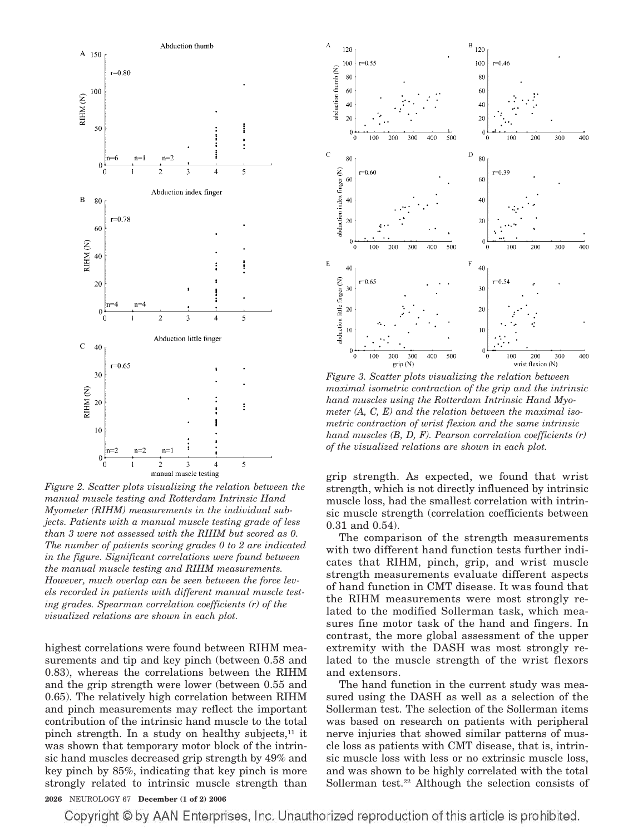

*Figure 2. Scatter plots visualizing the relation between the manual muscle testing and Rotterdam Intrinsic Hand Myometer (RIHM) measurements in the individual subjects. Patients with a manual muscle testing grade of less than 3 were not assessed with the RIHM but scored as 0. The number of patients scoring grades 0 to 2 are indicated in the figure. Significant correlations were found between the manual muscle testing and RIHM measurements. However, much overlap can be seen between the force levels recorded in patients with different manual muscle testing grades. Spearman correlation coefficients (r) of the visualized relations are shown in each plot.*

highest correlations were found between RIHM measurements and tip and key pinch (between 0.58 and 0.83), whereas the correlations between the RIHM and the grip strength were lower (between 0.55 and 0.65). The relatively high correlation between RIHM and pinch measurements may reflect the important contribution of the intrinsic hand muscle to the total pinch strength. In a study on healthy subjects, $11$  it was shown that temporary motor block of the intrinsic hand muscles decreased grip strength by 49% and key pinch by 85%, indicating that key pinch is more strongly related to intrinsic muscle strength than



*Figure 3. Scatter plots visualizing the relation between maximal isometric contraction of the grip and the intrinsic hand muscles using the Rotterdam Intrinsic Hand Myometer (A, C, E) and the relation between the maximal isometric contraction of wrist flexion and the same intrinsic hand muscles (B, D, F). Pearson correlation coefficients (r) of the visualized relations are shown in each plot.*

grip strength. As expected, we found that wrist strength, which is not directly influenced by intrinsic muscle loss, had the smallest correlation with intrinsic muscle strength (correlation coefficients between 0.31 and 0.54).

The comparison of the strength measurements with two different hand function tests further indicates that RIHM, pinch, grip, and wrist muscle strength measurements evaluate different aspects of hand function in CMT disease. It was found that the RIHM measurements were most strongly related to the modified Sollerman task, which measures fine motor task of the hand and fingers. In contrast, the more global assessment of the upper extremity with the DASH was most strongly related to the muscle strength of the wrist flexors and extensors.

The hand function in the current study was measured using the DASH as well as a selection of the Sollerman test. The selection of the Sollerman items was based on research on patients with peripheral nerve injuries that showed similar patterns of muscle loss as patients with CMT disease, that is, intrinsic muscle loss with less or no extrinsic muscle loss, and was shown to be highly correlated with the total Sollerman test.22 Although the selection consists of

## **2026** NEUROLOGY 67 **December (1 of 2) 2006**